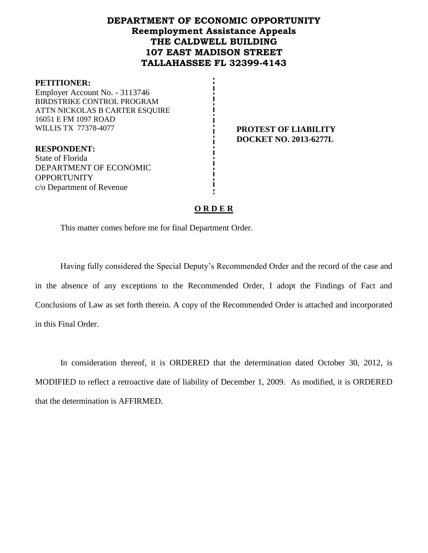# **DEPARTMENT OF ECONOMIC OPPORTUNITY Reemployment Assistance Appeals THE CALDWELL BUILDING 107 EAST MADISON STREET TALLAHASSEE FL 32399-4143**

#### **PETITIONER:**

Employer Account No. - 3113746 BIRDSTRIKE CONTROL PROGRAM ATTN NICKOLAS B CARTER ESQUIRE 16051 E FM 1097 ROAD WILLIS TX 77378-4077 **PROTEST OF LIABILITY** 

**DOCKET NO. 2013-6277L**

**RESPONDENT:** State of Florida DEPARTMENT OF ECONOMIC **OPPORTUNITY** c/o Department of Revenue

# **O R D E R**

This matter comes before me for final Department Order.

Having fully considered the Special Deputy's Recommended Order and the record of the case and in the absence of any exceptions to the Recommended Order, I adopt the Findings of Fact and Conclusions of Law as set forth therein. A copy of the Recommended Order is attached and incorporated in this Final Order.

In consideration thereof, it is ORDERED that the determination dated October 30, 2012, is MODIFIED to reflect a retroactive date of liability of December 1, 2009. As modified, it is ORDERED that the determination is AFFIRMED.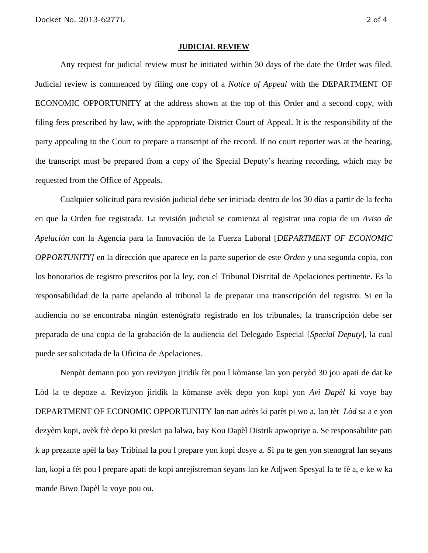#### **JUDICIAL REVIEW**

Any request for judicial review must be initiated within 30 days of the date the Order was filed. Judicial review is commenced by filing one copy of a *Notice of Appeal* with the DEPARTMENT OF ECONOMIC OPPORTUNITY at the address shown at the top of this Order and a second copy, with filing fees prescribed by law, with the appropriate District Court of Appeal. It is the responsibility of the party appealing to the Court to prepare a transcript of the record. If no court reporter was at the hearing, the transcript must be prepared from a copy of the Special Deputy's hearing recording, which may be requested from the Office of Appeals.

Cualquier solicitud para revisión judicial debe ser iniciada dentro de los 30 días a partir de la fecha en que la Orden fue registrada. La revisión judicial se comienza al registrar una copia de un *Aviso de Apelación* con la Agencia para la Innovación de la Fuerza Laboral [*DEPARTMENT OF ECONOMIC OPPORTUNITY]* en la dirección que aparece en la parte superior de este *Orden* y una segunda copia, con los honorarios de registro prescritos por la ley, con el Tribunal Distrital de Apelaciones pertinente. Es la responsabilidad de la parte apelando al tribunal la de preparar una transcripción del registro. Si en la audiencia no se encontraba ningún estenógrafo registrado en los tribunales, la transcripción debe ser preparada de una copia de la grabación de la audiencia del Delegado Especial [*Special Deputy*], la cual puede ser solicitada de la Oficina de Apelaciones.

Nenpòt demann pou yon revizyon jiridik fèt pou l kòmanse lan yon peryòd 30 jou apati de dat ke Lòd la te depoze a. Revizyon jiridik la kòmanse avèk depo yon kopi yon *Avi Dapèl* ki voye bay DEPARTMENT OF ECONOMIC OPPORTUNITY lan nan adrès ki parèt pi wo a, lan tèt *Lòd* sa a e yon dezyèm kopi, avèk frè depo ki preskri pa lalwa, bay Kou Dapèl Distrik apwopriye a. Se responsabilite pati k ap prezante apèl la bay Tribinal la pou l prepare yon kopi dosye a. Si pa te gen yon stenograf lan seyans lan, kopi a fèt pou l prepare apati de kopi anrejistreman seyans lan ke Adjwen Spesyal la te fè a, e ke w ka mande Biwo Dapèl la voye pou ou.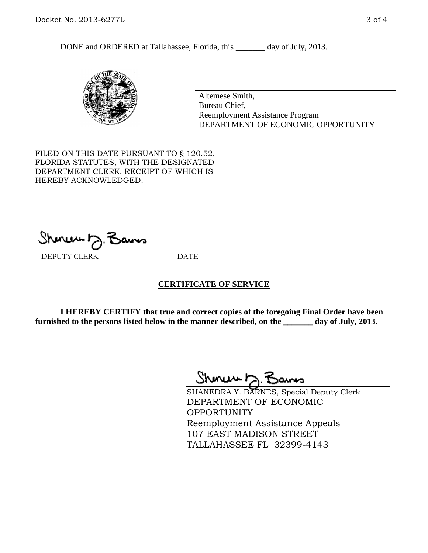DONE and ORDERED at Tallahassee, Florida, this \_\_\_\_\_\_\_ day of July, 2013.



Altemese Smith, Bureau Chief, Reemployment Assistance Program DEPARTMENT OF ECONOMIC OPPORTUNITY

FILED ON THIS DATE PURSUANT TO § 120.52, FLORIDA STATUTES, WITH THE DESIGNATED DEPARTMENT CLERK, RECEIPT OF WHICH IS HEREBY ACKNOWLEDGED.

 $\overline{\phantom{a}}$  ,  $\overline{\phantom{a}}$  ,  $\overline{\phantom{a}}$  ,  $\overline{\phantom{a}}$  ,  $\overline{\phantom{a}}$  ,  $\overline{\phantom{a}}$  ,  $\overline{\phantom{a}}$  ,  $\overline{\phantom{a}}$ DEPUTY CLERK DATE

# **CERTIFICATE OF SERVICE**

**I HEREBY CERTIFY that true and correct copies of the foregoing Final Order have been furnished to the persons listed below in the manner described, on the \_\_\_\_\_\_\_ day of July, 2013**.

 $ShmumE, F$ 

SHANEDRA Y. BARNES, Special Deputy Clerk DEPARTMENT OF ECONOMIC OPPORTUNITY Reemployment Assistance Appeals 107 EAST MADISON STREET TALLAHASSEE FL 32399-4143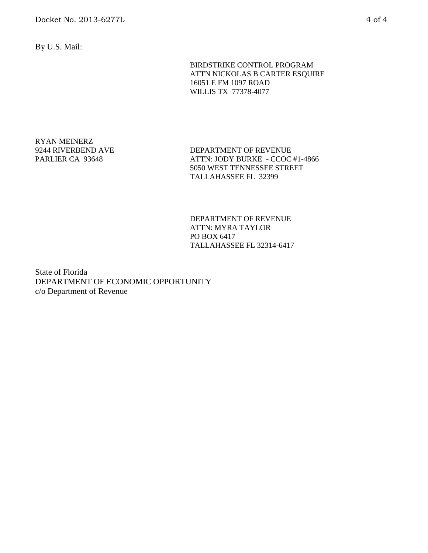By U.S. Mail:

### BIRDSTRIKE CONTROL PROGRAM ATTN NICKOLAS B CARTER ESQUIRE 16051 E FM 1097 ROAD WILLIS TX 77378-4077

RYAN MEINERZ 9244 RIVERBEND AVE PARLIER CA 93648

DEPARTMENT OF REVENUE ATTN: JODY BURKE - CCOC #1-4866 5050 WEST TENNESSEE STREET TALLAHASSEE FL 32399

DEPARTMENT OF REVENUE ATTN: MYRA TAYLOR PO BOX 6417 TALLAHASSEE FL 32314-6417

State of Florida DEPARTMENT OF ECONOMIC OPPORTUNITY c/o Department of Revenue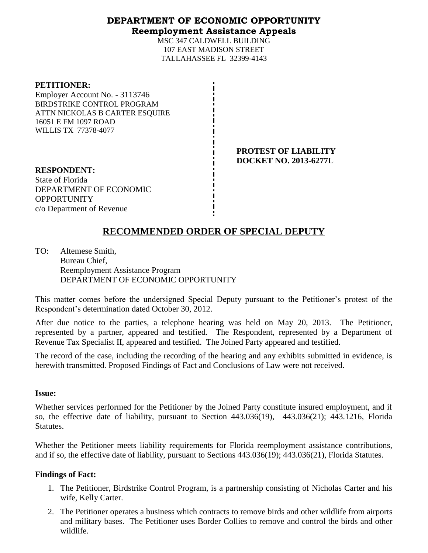# **DEPARTMENT OF ECONOMIC OPPORTUNITY Reemployment Assistance Appeals**

MSC 347 CALDWELL BUILDING 107 EAST MADISON STREET TALLAHASSEE FL 32399-4143

#### **PETITIONER:**

Employer Account No. - 3113746 BIRDSTRIKE CONTROL PROGRAM ATTN NICKOLAS B CARTER ESQUIRE 16051 E FM 1097 ROAD WILLIS TX 77378-4077

> **PROTEST OF LIABILITY DOCKET NO. 2013-6277L**

**RESPONDENT:** State of Florida DEPARTMENT OF ECONOMIC **OPPORTUNITY** c/o Department of Revenue

# **RECOMMENDED ORDER OF SPECIAL DEPUTY**

TO: Altemese Smith, Bureau Chief, Reemployment Assistance Program DEPARTMENT OF ECONOMIC OPPORTUNITY

This matter comes before the undersigned Special Deputy pursuant to the Petitioner's protest of the Respondent's determination dated October 30, 2012.

After due notice to the parties, a telephone hearing was held on May 20, 2013. The Petitioner, represented by a partner, appeared and testified. The Respondent, represented by a Department of Revenue Tax Specialist II, appeared and testified. The Joined Party appeared and testified.

The record of the case, including the recording of the hearing and any exhibits submitted in evidence, is herewith transmitted. Proposed Findings of Fact and Conclusions of Law were not received.

# **Issue:**

Whether services performed for the Petitioner by the Joined Party constitute insured employment, and if so, the effective date of liability, pursuant to Section 443.036(19), 443.036(21); 443.1216, Florida Statutes.

Whether the Petitioner meets liability requirements for Florida reemployment assistance contributions, and if so, the effective date of liability, pursuant to Sections 443.036(19); 443.036(21), Florida Statutes.

# **Findings of Fact:**

- 1. The Petitioner, Birdstrike Control Program, is a partnership consisting of Nicholas Carter and his wife, Kelly Carter.
- 2. The Petitioner operates a business which contracts to remove birds and other wildlife from airports and military bases. The Petitioner uses Border Collies to remove and control the birds and other wildlife.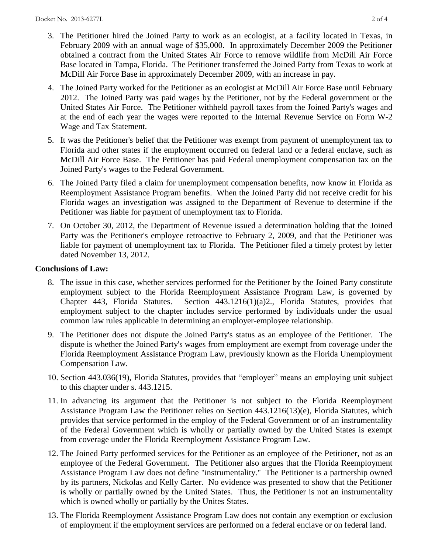- 3. The Petitioner hired the Joined Party to work as an ecologist, at a facility located in Texas, in February 2009 with an annual wage of \$35,000. In approximately December 2009 the Petitioner obtained a contract from the United States Air Force to remove wildlife from McDill Air Force Base located in Tampa, Florida. The Petitioner transferred the Joined Party from Texas to work at McDill Air Force Base in approximately December 2009, with an increase in pay.
- 4. The Joined Party worked for the Petitioner as an ecologist at McDill Air Force Base until February 2012. The Joined Party was paid wages by the Petitioner, not by the Federal government or the United States Air Force. The Petitioner withheld payroll taxes from the Joined Party's wages and at the end of each year the wages were reported to the Internal Revenue Service on Form W-2 Wage and Tax Statement.
- 5. It was the Petitioner's belief that the Petitioner was exempt from payment of unemployment tax to Florida and other states if the employment occurred on federal land or a federal enclave, such as McDill Air Force Base. The Petitioner has paid Federal unemployment compensation tax on the Joined Party's wages to the Federal Government.
- 6. The Joined Party filed a claim for unemployment compensation benefits, now know in Florida as Reemployment Assistance Program benefits. When the Joined Party did not receive credit for his Florida wages an investigation was assigned to the Department of Revenue to determine if the Petitioner was liable for payment of unemployment tax to Florida.
- 7. On October 30, 2012, the Department of Revenue issued a determination holding that the Joined Party was the Petitioner's employee retroactive to February 2, 2009, and that the Petitioner was liable for payment of unemployment tax to Florida. The Petitioner filed a timely protest by letter dated November 13, 2012.

# **Conclusions of Law:**

- 8. The issue in this case, whether services performed for the Petitioner by the Joined Party constitute employment subject to the Florida Reemployment Assistance Program Law, is governed by Chapter 443, Florida Statutes. Section 443.1216(1)(a)2., Florida Statutes, provides that employment subject to the chapter includes service performed by individuals under the usual common law rules applicable in determining an employer-employee relationship.
- 9. The Petitioner does not dispute the Joined Party's status as an employee of the Petitioner. The dispute is whether the Joined Party's wages from employment are exempt from coverage under the Florida Reemployment Assistance Program Law, previously known as the Florida Unemployment Compensation Law.
- 10. Section 443.036(19), Florida Statutes, provides that "employer" means an employing unit subject to this chapter under s. [443.1215.](http://www.flsenate.gov/Laws/Statutes/2012/443.1215)
- 11. In advancing its argument that the Petitioner is not subject to the Florida Reemployment Assistance Program Law the Petitioner relies on Section 443.1216(13)(e), Florida Statutes, which provides that service performed in the employ of the Federal Government or of an instrumentality of the Federal Government which is wholly or partially owned by the United States is exempt from coverage under the Florida Reemployment Assistance Program Law.
- 12. The Joined Party performed services for the Petitioner as an employee of the Petitioner, not as an employee of the Federal Government. The Petitioner also argues that the Florida Reemployment Assistance Program Law does not define "instrumentality." The Petitioner is a partnership owned by its partners, Nickolas and Kelly Carter. No evidence was presented to show that the Petitioner is wholly or partially owned by the United States. Thus, the Petitioner is not an instrumentality which is owned wholly or partially by the Unites States.
- 13. The Florida Reemployment Assistance Program Law does not contain any exemption or exclusion of employment if the employment services are performed on a federal enclave or on federal land.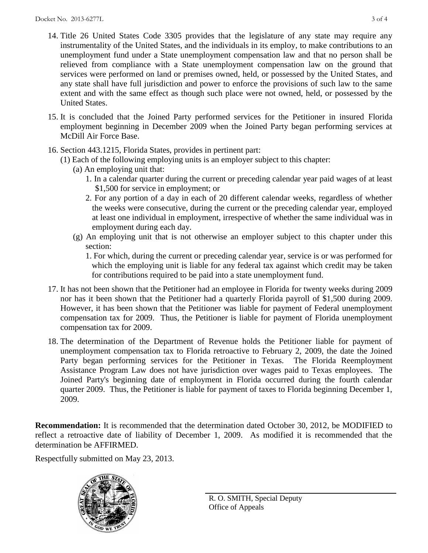- 14. Title 26 United States Code 3305 provides that the legislature of any state may require any instrumentality of the United States, and the individuals in its employ, to make contributions to an unemployment fund under a State unemployment compensation law and that no person shall be relieved from compliance with a State unemployment compensation law on the ground that services were performed on land or premises owned, held, or possessed by the United States, and any state shall have full jurisdiction and power to enforce the provisions of such law to the same extent and with the same effect as though such place were not owned, held, or possessed by the United States.
- 15. It is concluded that the Joined Party performed services for the Petitioner in insured Florida employment beginning in December 2009 when the Joined Party began performing services at McDill Air Force Base.
- 16. Section 443.1215, Florida States, provides in pertinent part:
	- (1) Each of the following employing units is an employer subject to this chapter:
		- (a) An employing unit that:
			- 1. In a calendar quarter during the current or preceding calendar year paid wages of at least \$1,500 for service in employment; or
			- 2. For any portion of a day in each of 20 different calendar weeks, regardless of whether the weeks were consecutive, during the current or the preceding calendar year, employed at least one individual in employment, irrespective of whether the same individual was in employment during each day.
		- (g) An employing unit that is not otherwise an employer subject to this chapter under this section:
			- 1. For which, during the current or preceding calendar year, service is or was performed for which the employing unit is liable for any federal tax against which credit may be taken for contributions required to be paid into a state unemployment fund.
- 17. It has not been shown that the Petitioner had an employee in Florida for twenty weeks during 2009 nor has it been shown that the Petitioner had a quarterly Florida payroll of \$1,500 during 2009. However, it has been shown that the Petitioner was liable for payment of Federal unemployment compensation tax for 2009. Thus, the Petitioner is liable for payment of Florida unemployment compensation tax for 2009.
- 18. The determination of the Department of Revenue holds the Petitioner liable for payment of unemployment compensation tax to Florida retroactive to February 2, 2009, the date the Joined Party began performing services for the Petitioner in Texas. The Florida Reemployment Assistance Program Law does not have jurisdiction over wages paid to Texas employees. The Joined Party's beginning date of employment in Florida occurred during the fourth calendar quarter 2009. Thus, the Petitioner is liable for payment of taxes to Florida beginning December 1, 2009.

**Recommendation:** It is recommended that the determination dated October 30, 2012, be MODIFIED to reflect a retroactive date of liability of December 1, 2009. As modified it is recommended that the determination be AFFIRMED.

Respectfully submitted on May 23, 2013.